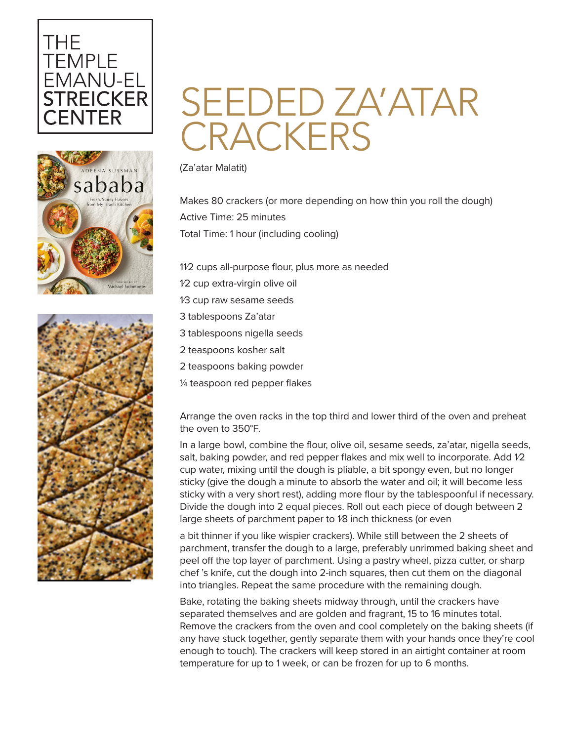### **THE TEMPLE** EMANU-EL **STREICKER ENTER**





## SEEDED ZA'ATAR **CRACKERS**

(Za'atar Malatit)

Makes 80 crackers (or more depending on how thin you roll the dough) Active Time: 25 minutes Total Time: 1 hour (including cooling)

11⁄2 cups all-purpose flour, plus more as needed 1⁄2 cup extra-virgin olive oil

1⁄3 cup raw sesame seeds

3 tablespoons Za'atar

3 tablespoons nigella seeds

2 teaspoons kosher salt

2 teaspoons baking powder

¼ teaspoon red pepper flakes

Arrange the oven racks in the top third and lower third of the oven and preheat the oven to 350°F.

In a large bowl, combine the flour, olive oil, sesame seeds, za'atar, nigella seeds, salt, baking powder, and red pepper flakes and mix well to incorporate. Add 1/2 cup water, mixing until the dough is pliable, a bit spongy even, but no longer sticky (give the dough a minute to absorb the water and oil; it will become less sticky with a very short rest), adding more flour by the tablespoonful if necessary. Divide the dough into 2 equal pieces. Roll out each piece of dough between 2 large sheets of parchment paper to 1⁄8 inch thickness (or even

a bit thinner if you like wispier crackers). While still between the 2 sheets of parchment, transfer the dough to a large, preferably unrimmed baking sheet and peel off the top layer of parchment. Using a pastry wheel, pizza cutter, or sharp chef 's knife, cut the dough into 2-inch squares, then cut them on the diagonal into triangles. Repeat the same procedure with the remaining dough.

Bake, rotating the baking sheets midway through, until the crackers have separated themselves and are golden and fragrant, 15 to 16 minutes total. Remove the crackers from the oven and cool completely on the baking sheets (if any have stuck together, gently separate them with your hands once they're cool enough to touch). The crackers will keep stored in an airtight container at room temperature for up to 1 week, or can be frozen for up to 6 months.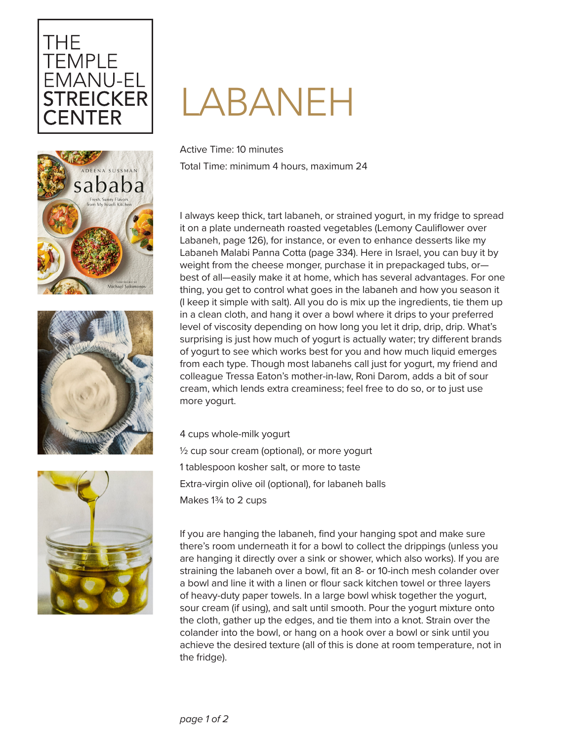### **THE TEMPLE EMANU-EL STREICKER** ENTER





## LABANEH

Active Time: 10 minutes Total Time: minimum 4 hours, maximum 24

I always keep thick, tart labaneh, or strained yogurt, in my fridge to spread it on a plate underneath roasted vegetables (Lemony Cauliflower over Labaneh, page 126), for instance, or even to enhance desserts like my Labaneh Malabi Panna Cotta (page 334). Here in Israel, you can buy it by weight from the cheese monger, purchase it in prepackaged tubs, or best of all—easily make it at home, which has several advantages. For one thing, you get to control what goes in the labaneh and how you season it (I keep it simple with salt). All you do is mix up the ingredients, tie them up in a clean cloth, and hang it over a bowl where it drips to your preferred level of viscosity depending on how long you let it drip, drip, drip. What's surprising is just how much of yogurt is actually water; try different brands of yogurt to see which works best for you and how much liquid emerges from each type. Though most labanehs call just for yogurt, my friend and colleague Tressa Eaton's mother-in-law, Roni Darom, adds a bit of sour cream, which lends extra creaminess; feel free to do so, or to just use more yogurt.

4 cups whole-milk yogurt ½ cup sour cream (optional), or more yogurt 1 tablespoon kosher salt, or more to taste Extra-virgin olive oil (optional), for labaneh balls Makes 1¾ to 2 cups

If you are hanging the labaneh, find your hanging spot and make sure there's room underneath it for a bowl to collect the drippings (unless you are hanging it directly over a sink or shower, which also works). If you are straining the labaneh over a bowl, fit an 8- or 10-inch mesh colander over a bowl and line it with a linen or flour sack kitchen towel or three layers of heavy-duty paper towels. In a large bowl whisk together the yogurt, sour cream (if using), and salt until smooth. Pour the yogurt mixture onto the cloth, gather up the edges, and tie them into a knot. Strain over the colander into the bowl, or hang on a hook over a bowl or sink until you achieve the desired texture (all of this is done at room temperature, not in the fridge).

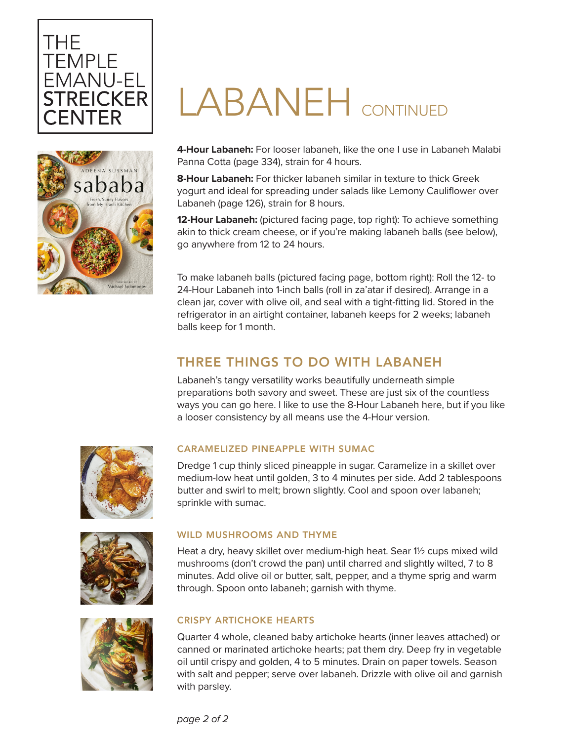### **THE TEMPLE EMANU-EL STREICKER ENTER**



# LABANEH CONTINUED

**4-Hour Labaneh:** For looser labaneh, like the one I use in Labaneh Malabi Panna Cotta (page 334), strain for 4 hours.

**8-Hour Labaneh:** For thicker labaneh similar in texture to thick Greek yogurt and ideal for spreading under salads like Lemony Cauliflower over Labaneh (page 126), strain for 8 hours.

**12-Hour Labaneh:** (pictured facing page, top right): To achieve something akin to thick cream cheese, or if you're making labaneh balls (see below), go anywhere from 12 to 24 hours.

To make labaneh balls (pictured facing page, bottom right): Roll the 12- to 24-Hour Labaneh into 1-inch balls (roll in za'atar if desired). Arrange in a clean jar, cover with olive oil, and seal with a tight-fitting lid. Stored in the refrigerator in an airtight container, labaneh keeps for 2 weeks; labaneh balls keep for 1 month.

#### THREE THINGS TO DO WITH LABANEH

Labaneh's tangy versatility works beautifully underneath simple preparations both savory and sweet. These are just six of the countless ways you can go here. I like to use the 8-Hour Labaneh here, but if you like a looser consistency by all means use the 4-Hour version.



#### CARAMELIZED PINEAPPLE WITH SUMAC

Dredge 1 cup thinly sliced pineapple in sugar. Caramelize in a skillet over medium-low heat until golden, 3 to 4 minutes per side. Add 2 tablespoons butter and swirl to melt; brown slightly. Cool and spoon over labaneh; sprinkle with sumac.





#### WILD MUSHROOMS AND THYME

Heat a dry, heavy skillet over medium-high heat. Sear 1½ cups mixed wild mushrooms (don't crowd the pan) until charred and slightly wilted, 7 to 8 minutes. Add olive oil or butter, salt, pepper, and a thyme sprig and warm through. Spoon onto labaneh; garnish with thyme.

#### CRISPY ARTICHOKE HEARTS

Quarter 4 whole, cleaned baby artichoke hearts (inner leaves attached) or canned or marinated artichoke hearts; pat them dry. Deep fry in vegetable oil until crispy and golden, 4 to 5 minutes. Drain on paper towels. Season with salt and pepper; serve over labaneh. Drizzle with olive oil and garnish with parsley.